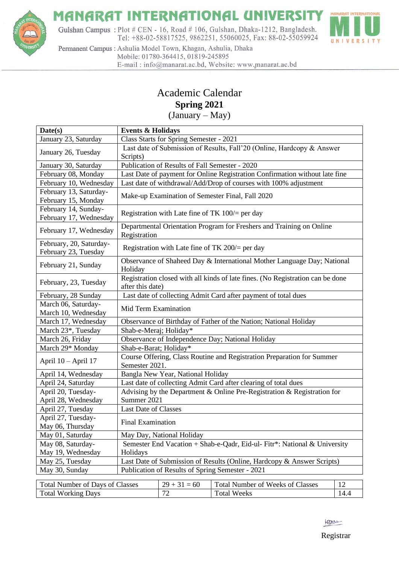

#### **MANARAT INTERNATIONAL UNIVERSIT** Y

Gulshan Campus: Plot # CEN - 16, Road # 106, Gulshan, Dhaka-1212, Bangladesh. Tel: +88-02-58817525, 9862251, 55060025, Fax: 88-02-55059924



Permanent Campus : Ashulia Model Town, Khagan, Ashulia, Dhaka Mobile: 01780-364415, 01819-245895 E-mail: info@manarat.ac.bd, Website: www.manarat.ac.bd

### Academic Calendar **Spring 2021**

(January – May)

| Date(s)                                         | <b>Events &amp; Holidays</b>                                                                       |                          |                                         |      |  |
|-------------------------------------------------|----------------------------------------------------------------------------------------------------|--------------------------|-----------------------------------------|------|--|
| January 23, Saturday                            | Class Starts for Spring Semester - 2021                                                            |                          |                                         |      |  |
| January 26, Tuesday                             | Last date of Submission of Results, Fall'20 (Online, Hardcopy & Answer                             |                          |                                         |      |  |
|                                                 | Scripts)                                                                                           |                          |                                         |      |  |
| January 30, Saturday                            | Publication of Results of Fall Semester - 2020                                                     |                          |                                         |      |  |
| February 08, Monday                             | Last Date of payment for Online Registration Confirmation without late fine                        |                          |                                         |      |  |
| February 10, Wednesday                          | Last date of withdrawal/Add/Drop of courses with 100% adjustment                                   |                          |                                         |      |  |
| February 13, Saturday-<br>February 15, Monday   | Make-up Examination of Semester Final, Fall 2020                                                   |                          |                                         |      |  |
| February 14, Sunday-<br>February 17, Wednesday  | Registration with Late fine of TK $100/$ = per day                                                 |                          |                                         |      |  |
| February 17, Wednesday                          | Departmental Orientation Program for Freshers and Training on Online<br>Registration               |                          |                                         |      |  |
| February, 20, Saturday-<br>February 23, Tuesday | Registration with Late fine of TK $200/$ = per day                                                 |                          |                                         |      |  |
| February 21, Sunday                             | Observance of Shaheed Day & International Mother Language Day; National<br>Holiday                 |                          |                                         |      |  |
| February, 23, Tuesday                           | Registration closed with all kinds of late fines. (No Registration can be done<br>after this date) |                          |                                         |      |  |
| February, 28 Sunday                             | Last date of collecting Admit Card after payment of total dues                                     |                          |                                         |      |  |
| March 06, Saturday-<br>March 10, Wednesday      | Mid Term Examination                                                                               |                          |                                         |      |  |
| March 17, Wednesday                             | Observance of Birthday of Father of the Nation; National Holiday                                   |                          |                                         |      |  |
| March 23*, Tuesday                              | Shab-e-Meraj; Holiday*                                                                             |                          |                                         |      |  |
| March 26, Friday                                | Observance of Independence Day; National Holiday                                                   |                          |                                         |      |  |
| March 29* Monday                                | Shab-e-Barat; Holiday*                                                                             |                          |                                         |      |  |
| April 10 - April 17                             | Course Offering, Class Routine and Registration Preparation for Summer<br>Semester 2021.           |                          |                                         |      |  |
| April 14, Wednesday                             | Bangla New Year, National Holiday                                                                  |                          |                                         |      |  |
| April 24, Saturday                              | Last date of collecting Admit Card after clearing of total dues                                    |                          |                                         |      |  |
| April 20, Tuesday-                              | Advising by the Department & Online Pre-Registration & Registration for                            |                          |                                         |      |  |
| April 28, Wednesday                             | Summer 2021                                                                                        |                          |                                         |      |  |
| April 27, Tuesday                               | <b>Last Date of Classes</b>                                                                        |                          |                                         |      |  |
| April 27, Tuesday-                              |                                                                                                    | <b>Final Examination</b> |                                         |      |  |
| May 06, Thursday                                |                                                                                                    |                          |                                         |      |  |
| May 01, Saturday                                | May Day, National Holiday                                                                          |                          |                                         |      |  |
| May 08, Saturday-                               | Semester End Vacation + Shab-e-Qadr, Eid-ul- Fitr*: National & University                          |                          |                                         |      |  |
| May 19, Wednesday                               | Holidays                                                                                           |                          |                                         |      |  |
| May 25, Tuesday                                 | Last Date of Submission of Results (Online, Hardcopy & Answer Scripts)                             |                          |                                         |      |  |
|                                                 | Publication of Results of Spring Semester - 2021<br>May 30, Sunday                                 |                          |                                         |      |  |
| <b>Total Number of Days of Classes</b>          |                                                                                                    | $29 + 31 = 60$           | <b>Total Number of Weeks of Classes</b> | 12   |  |
| <b>Total Working Days</b>                       |                                                                                                    | 72                       | <b>Total Weeks</b>                      | 14.4 |  |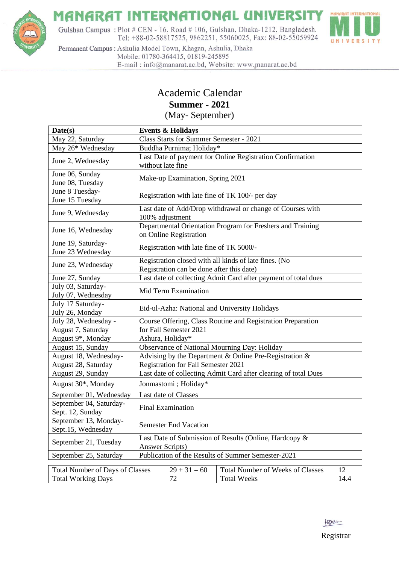

# **MANARAT INTERNATIONAL UNIVERSITY**

Gulshan Campus: Plot # CEN - 16, Road # 106, Gulshan, Dhaka-1212, Bangladesh. Tel: +88-02-58817525, 9862251, 55060025, Fax: 88-02-55059924



Permanent Campus : Ashulia Model Town, Khagan, Ashulia, Dhaka Mobile: 01780-364415, 01819-245895 E-mail: info@manarat.ac.bd, Website: www.manarat.ac.bd

### Academic Calendar **Summer - 2021**

(May- September)

| Date(s)                                                         | <b>Events &amp; Holidays</b>                                                                       |    |                    |      |  |
|-----------------------------------------------------------------|----------------------------------------------------------------------------------------------------|----|--------------------|------|--|
| May 22, Saturday                                                | Class Starts for Summer Semester - 2021                                                            |    |                    |      |  |
| May 26* Wednesday                                               | Buddha Purnima; Holiday*                                                                           |    |                    |      |  |
| June 2, Wednesday                                               | Last Date of payment for Online Registration Confirmation<br>without late fine                     |    |                    |      |  |
| June 06, Sunday<br>June 08, Tuesday                             | Make-up Examination, Spring 2021                                                                   |    |                    |      |  |
| June 8 Tuesday-<br>June 15 Tuesday                              | Registration with late fine of TK 100/- per day                                                    |    |                    |      |  |
| June 9, Wednesday                                               | Last date of Add/Drop withdrawal or change of Courses with<br>100% adjustment                      |    |                    |      |  |
| June 16, Wednesday                                              | Departmental Orientation Program for Freshers and Training<br>on Online Registration               |    |                    |      |  |
| June 19, Saturday-<br>June 23 Wednesday                         | Registration with late fine of TK 5000/-                                                           |    |                    |      |  |
| June 23, Wednesday                                              | Registration closed with all kinds of late fines. (No<br>Registration can be done after this date) |    |                    |      |  |
| June 27, Sunday                                                 | Last date of collecting Admit Card after payment of total dues                                     |    |                    |      |  |
| July 03, Saturday-<br>July 07, Wednesday                        | Mid Term Examination                                                                               |    |                    |      |  |
| July 17 Saturday-<br>July 26, Monday                            | Eid-ul-Azha: National and University Holidays                                                      |    |                    |      |  |
| July 28, Wednesday -                                            | Course Offering, Class Routine and Registration Preparation                                        |    |                    |      |  |
| August 7, Saturday                                              | for Fall Semester 2021                                                                             |    |                    |      |  |
| August 9*, Monday                                               | Ashura, Holiday*                                                                                   |    |                    |      |  |
| August 15, Sunday                                               | Observance of National Mourning Day: Holiday                                                       |    |                    |      |  |
| August 18, Wednesday-                                           | Advising by the Department & Online Pre-Registration &                                             |    |                    |      |  |
| August 28, Saturday                                             | <b>Registration for Fall Semester 2021</b>                                                         |    |                    |      |  |
| August 29, Sunday                                               | Last date of collecting Admit Card after clearing of total Dues                                    |    |                    |      |  |
| August 30*, Monday                                              | Jonmastomi; Holiday*                                                                               |    |                    |      |  |
| September 01, Wednesday                                         | Last date of Classes                                                                               |    |                    |      |  |
| September 04, Saturday-<br>Sept. 12, Sunday                     | <b>Final Examination</b>                                                                           |    |                    |      |  |
| September 13, Monday-<br>Sept.15, Wednesday                     | <b>Semester End Vacation</b>                                                                       |    |                    |      |  |
| September 21, Tuesday                                           | Last Date of Submission of Results (Online, Hardcopy &<br>Answer Scripts)                          |    |                    |      |  |
| September 25, Saturday                                          | Publication of the Results of Summer Semester-2021                                                 |    |                    |      |  |
| 12<br>$29 + 31 = 60$<br><b>Total Number of Weeks of Classes</b> |                                                                                                    |    |                    |      |  |
| <b>Total Number of Days of Classes</b>                          |                                                                                                    | 72 | <b>Total Weeks</b> | 14.4 |  |
| <b>Total Working Days</b>                                       |                                                                                                    |    |                    |      |  |

leau